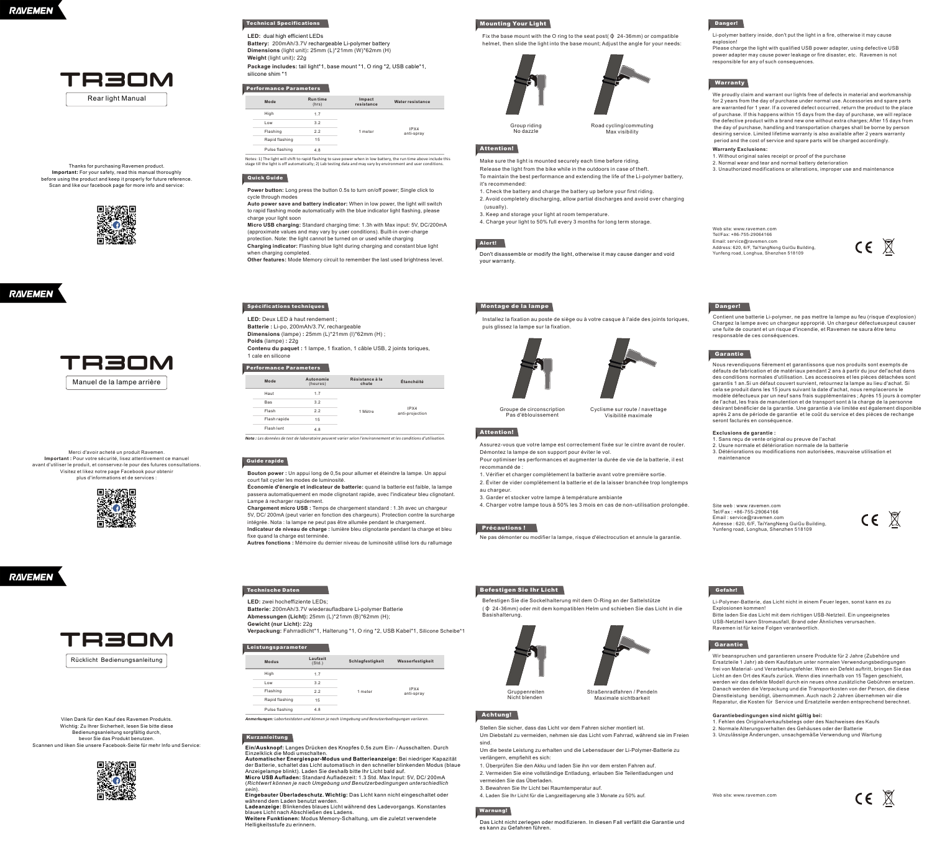

Thanks for purchasing Ravemen product.<br>Important: For your safety, read this manual thoroughly<br>before using the product and keep it properly for future reference.<br>Scan and like our facebook page for more info and service:







Merci d'avoir acheté un produit Ravemen. **Important :** Pour votre sécurité, lisez attentivement ce manuel avant d'utiliser le produit, et conservez-le pour des futures consultations. Visitez et likez notre page Facebook pour obtenir plus d'informations et de services :



**RAVEMEN** 



Vilen Dank für den Kauf des Ravemen Produkts. Wichtig: Zu Ihrer Sicherheit, lesen Sie bitte diese Bedienungsanleitung sorgfältig durch, bevor Sie das Produkt benutzen. Scannen und liken Sie unsere Facebook-Seite für mehr Info und Service:

# **Technical Specifications**

**LED:** dual high efficient LEDs **Battery:** 200mAh/3.7V rechargeable Li-polymer battery **Dimensions** (light unit)**:** 25mm (L)\*21mm (W)\*62mm (H)

**Weight** (light unit)**:** 22g **Package includes:** tail light\*1, base mount \*1, O ring \*2, USB cable\*1, silicone shim \*1

### **Performance Parameters**

| Mode           | <b>Runtime</b><br>(hrs) | Impact<br>resistance | Water resistance   |
|----------------|-------------------------|----------------------|--------------------|
| High           | 17                      |                      |                    |
| I ow           | 32                      |                      |                    |
| Flashing       | 22                      | 1 meter              | IPX4<br>anti-soray |
| Rapid flashing | 15                      |                      |                    |
| Pulse flashing | 48                      |                      |                    |

Notes: 1) The light will shift to rapid flashing to save power when in low battery, the run time above include this<br>stage till the light is off automatically; 2) Lab testing data and may vary by environment and user condit

# **Quick Guide**

Power button: Long press the button 0.5s to turn on/off power; Single click to cycle through modes **Auto power save and battery indicator:** When in low power, the light will switch

to rapid flashing mode automatically with the blue indicator light flashing, please charge your light soon

**Micro USB charging:** Standard charging time: 1.3h with Max input: 5V, DC/200mA (approximate values and may vary by user conditions). Built-in over-charge protection. Note: the light cannot be turned on or used while charging **Charging indicator:** Flashing blue light during charging and constant blue light when charging completed.

**Other features:** Mode Memory circuit to remember the last used brightness level.

# **Spécifications techniques**

**LED:** Deux LED à haut rendement ; **Batterie :** Li-po, 200mAh/3.7V, rechargeable **Dimensions** (lampe) **:** 25mm (L)\*21mm (l)\*62mm (H) ;

**Poids** (lampe) **:** 22g Contenu du paquet : 1 lampe, 1 fixation, 1 câble USB, 2 joints toriques 1 cale en silicone

**Performance Parameters**

IPX4 anti-projection **Mode** 1.7 3.2 2.2 15 4.8 Haut **Autonomie** (heures) Bas Flash Flash **Résistance à la chute Étanchéité** 1 Mètre Flash lent

*Nota : Les données de test de laboratoire peuvent varier selon l'environnement et les conditions d'utilisation.*

# **Guide rapide**

**Bouton power :** Un appui long de 0,5s pour allumer et éteindre la lampe. Un appui court fait cycler les modes de luminosité. **Économie d'énergie et indicateur de batterie:** quand la batterie est faible, la lampe

passera automatiquement en mode clignotant rapide, avec l'indicateur bleu clignotant. Lampe à recharger rapidement.

**Chargement micro USB :** Temps de chargement standard : 1.3h avec un chargeur 5V, DC/ 200mA (peut varier en fonction des chargeurs). Protection contre la surcharge intégrée. Nota : la lampe ne peut pas être allumée pendant le chargement. **Indicateur de niveau de charge :** lumière bleu clignotante pendant la charge et bleu fixe quand la charge est terminée.

**Autres fonctions :** Mémoire du dernier niveau de luminosité utilisé lors du rallumage

# **Technische Daten**

**LED:** zwei hocheffiziente LEDs; **Batterie:** 200mAh/3.7V wiederaufladbare Li-polymer Batterie

**Abmessungen (Licht):** 25mm (L)\*21mm (B)\*62mm (H); **Gewicht (nur Licht):** 22g

**Verpackung:** Fahrradlicht\*1, Halterung \*1, O ring \*2, USB Kabel\*1, Silicone Scheibe\*1

#### **Leistungsparameter**

| Modus                | Laufzeit<br>(Std.) | Schlagfestigkeit | Wasserfestigkeit   |
|----------------------|--------------------|------------------|--------------------|
| High                 | 1.7                |                  |                    |
| Low                  | 3.2                |                  |                    |
| Flashing             | 22                 | 1 meter          | IPX4<br>anti-spray |
| Rapid flashing<br>15 |                    |                  |                    |
| Pulse flashing       | 4.8                |                  |                    |

*Anmerkungen: Labortestdaten und können je nach Umgebung und Benutzerbedingungen variieren.*

### **Kurzanleitung**

**Ein/Ausknopf:** Langes Drücken des Knopfes 0,5s zum Ein- / Ausschalten. Durch

Einzelklick die Modi umschalten.<br>**Automatischer Energiespar-Modus und Batterieanzeige:** Bei niedriger Kapazität<br>der Batterie, schaltet das Licht automatisch in den schneller blinkenden Modus (blaue Anzeigelampe blinkt). Laden Sie deshalb bitte Ihr Licht bald auf.

**Micro USB Aufladen:** Standard Aufladezeit: 1.3 Std. Max Input: 5V, DC/ 200mA (*Richtwert können je nach Umgebung und Benutzerbedingungen unterschiedlich* 

søin).<br>Eingebauter Überladeschutz. Wichtig: Das Licht kann nicht eingeschaltet oder<br>während dem Laden benutzt werden.<br>Ladeanzeige: Blinkendes blaues Licht während des Ladevorgangs. Konstantes<br>Weitere Funktionen: Modus Memo

Helligkeitsstufe zu erinnern.

## **Mounting Your Light**

Group riding No dazzle

Fix the base mount with the O ring to the seat post(φ 24-36mm) or compatible helmet, then slide the light into the base mount; Adjust the angle for your needs:



Road cycling/commuting Max visibility

# **Attention!**

Make sure the light is mounted securely each time before riding. Release the light from the bike while in the outdoors in case of theft. To maintain the best performance and extending the life of the Li-polymer battery,

it's recommended: 1. Check the battery and charge the battery up before your first riding.

2. Avoid completely discharging, allow partial discharges and avoid over charging (usually).

3. Keep and storage your light at room temperature. 4. Charge your light to 50% full every 3 months for long term storage.

# **Aler t!**

Don't disassemble or modify the light, otherwise it may cause danger and void your warranty.

# **Montage de la lampe**

Installez la fixation au poste de siège ou à votre casque à l'aide des joints toriques, puis glissez la lampe sur la fixation.



Cyclisme sur route / navettage Visibilité maximale

# **Attention!**

Groupe de circonscription Pas d'éblouissement

Assurez-vous que votre lampe est correctement fixée sur le cintre avant de rouler. Démontez la lampe de son support pour éviter le vol. Pour optimiser les performances et augmenter la durée de vie de la batterie, il est

recommandé de :

1. Vérifier et charger complètement la batterie avant votre première sortie. 2. Éviter de vider complètement la batterie et de la laisser branchée trop longtemps

au chargeur. 3. Garder et stocker votre lampe à température ambiante

4. Charger votre lampe tous à 50% les 3 mois en cas de non-utilisation prolongée.

# **Précautions !**

Ne pas démonter ou modifier la lampe, risque d'électrocution et annule la garantie.

#### **Befestigen Sie Ihr Licht**

Befestigen Sie die Sockelhalterung mit dem O-Ring an der Sattelstütze (φ 24-36mm) oder mit dem kompatiblen Helm und schieben Sie das Licht in die Basishalterung.



Maximale sichtbarkeit

# **Achtung!**

Stellen Sie sicher, dass das Licht vor dem Fahren sicher montiert ist. Um Diebstahl zu vermeiden, nehmen sie das Licht vom Fahrrad, während sie im Freien sind.

Um die beste Leistung zu erhalten und die Lebensdauer der Li-Polymer-Batterie zu verlängern, empfiehlt es sich:

1. Überprüfen Sie den Akku und laden Sie ihn vor dem ersten Fahren auf.

2. Vermeiden Sie eine vollständige Entladung, erlauben Sie Teilentladungen und vermeiden Sie das Überladen.

3. Bewahren Sie Ihr Licht bei Raumtemperatur auf.

4. Laden Sie Ihr Licht für die Langzeitlagerung alle 3 Monate zu 50% auf. Web site: www.ravemen.com

**Warnung!**

Das Licht nicht zerlegen oder modifizieren. In diesen Fall verfällt die Garantie und es kann zu Gefahren führen.

## **Danger!**

Li-polymer battery inside, don't put the light in a fire, otherwise it may cause explosion!

Please charge the light with qualified USB power adapter, using defective USB power adapter may cause power leakage or fire disaster, etc. Ravemen is not responsible for any of such consequences.

# **Warranty**

We proudly claim and warrant our lights free of defects in material and workmanship for 2 years from the day of purchase under normal use. Accessories and spare parts are warranted for 1 year. If a covered defect occurred, return the product to the place of purchase. If this happens within 15 days from the day of purchase, we will replace the defective product with a brand new one without extra charges; After 15 days from<br>the day of purchase, handling and transportation charges shall be borne by person<br>desiring service. Limited lifetime warranty is also ava period and the cost of service and spare parts will be charged accordingly.

**Warranty Exclusions:** 1. Without original sales receipt or proof of the purchase

2. Normal wear and tear and normal battery deterioration 3. Unauthorized modifications or alterations, improper use and maintenance

Web site: www.ravemen.com Tel/Fax: +86-755-29064166 Email: service@ravemen.com Address: 620, 6/F, TaiYangNeng GuiGu Building, Yunfeng road, Longhua, Shenzhen 518109

CE X

### **Danger!**

Contient une batterie Li-polymer, ne pas mettre la lampe au feu (risque d'explosion) Chargez la lampe avec un chargeur approprié. Un chargeur défectueuxpeut causer une fuite de courant et un risque d'incendie, et Ravemen ne saura être tenu responsable de ces conséquences.

#### **Garantie**

**Gefahr!**

**Garantie**

Nous revendiquons fièrement et garantissons que nos produits sont exempts de<br>défauts de fabrication et de matériaux pendant 2 ans à partir du jour del'achat dans<br>des conditions normales d'utilisation. Les accessoires et le garantis 1 an.Si un défaut couvert survient, retournez la lampe au lieu d'achat. Si cela se produit dans les 15 jours suivant la date d'achat, nous remplacerons le<br>modèle défectueux par un neuf sans frais supplémentaires ; Après 15 jours à compter<br>de l'achat, les frais de manutention et de transport sont après 2 ans de période de garantie et le coût du service et des pièces de rechange seront facturés en conséquence.

# **Exclusions de garantie :**

1. Sans reçu de vente original ou preuve de l'achat 2. Usure normale et détérioration normale de la batterie 3. Détériorations ou modifications non autorisées, mauvaise utilisation et maintenance

Li-Polymer-Batterie, das Licht nicht in einem Feuer legen, sonst kann es zu Explosionen kommen! Bitte laden Sie das Licht mit dem richtigen USB-Netzteil. Ein ungeeignetes USB-Netzteil kann Stromausfall, Brand oder Ähnliches verursachen. Ravemen ist für keine Folgen verantwortlich.

Wir beanspruchen und garantieren unsere Produkte für 2 Jahre (Zubehöre und Ersatzteile 1 Jahr) ab dem Kaufdatum unter normalen Verwendungsbedingungen frei von Material- und Verarbeitungsfehler. Wenn ein Defekt auftritt, bringen Sie das Licht an den Ort des Kaufs zurück. Wenn dies innerhalb von 15 Tagen geschieht, werden wir das defekte Modell durch ein neues ohne zusätzliche Gebühren ersetzen. Danach werden die Verpackung und die Transportkosten von der Person, die diese Dienstleistung benötigt, übernommen. Auch nach 2 Jahren übernehmen wir die Reparatur, die Kosten für Service und Ersatzteile werden entsprechend berechnet. **Garantiebedingungen sind nicht gültig bei:**<br>1. Fehlen des Originalverkaufsbelegs oder des Nachweises des Kaufs<br>2. Normale Alterungsverhalten des Gehäuses oder der Batterie 3. Unzulässige Änderungen, unsachgemäße Verwendung und Wartung

Site web : www.ravemen.com Tel/Fax : +86-755-29064166 Email : service@ravemen.com Adresse : 620, 6/F, TaiYangNeng GuiGu Building, Yunfeng road, Longhua, Shenzhen 518109  $C \in \mathbb{X}$ 

CE X